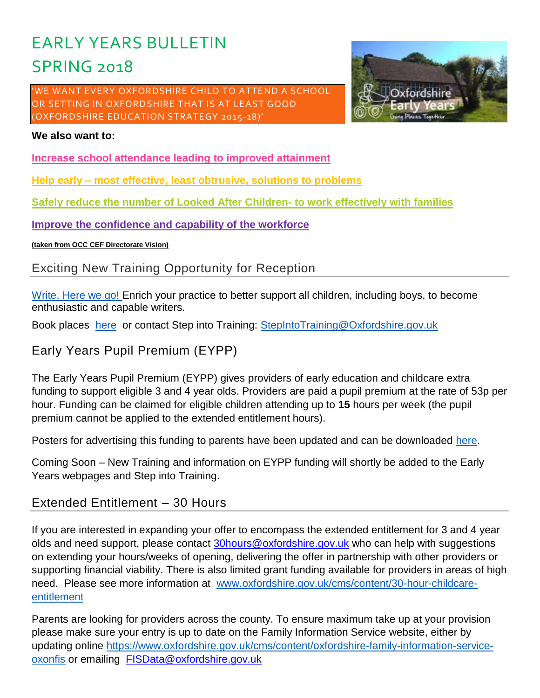# EARLY YEARS BULLETIN SPRING 2018

'WE WANT EVERY OXFORDSHIRE CHILD TO ATTEND A SCHOOL OR SETTING IN OXFORDSHIRE THAT IS AT LEAST GOOD (OXFORDSHIRE EDUCATION STRATEGY 2015-18)'



#### **We also want to:**

**Increase school attendance leading to improved attainment**

**Help early – most effective, least obtrusive, solutions to problems**

**Safely reduce the number of Looked After Children- to work effectively with families**

**Improve the confidence and capability of the workforce**

**(taken from OCC CEF Directorate Vision)**

# Exciting New Training Opportunity for Reception

[Write, Here we go!](https://oxfordshirecpdonline.com/courses/bookings/c_detail.asp?cid=11026&iscancelled=0&curpage=&keyword=&ds=1&unconfirmed=&cs=&subid=&ccid=&cscid=&search_theme=&keystage=&sdate=&searchcode=&asearch=&tutid=&estid=&sday=&smonth=&syear=&targetid=&cal=1&calday=18&calmonth=1&calyear=2018&caldate=&submonth=&subyear=&list=&palist=&frompage=&a=&b=&c=&d=&s_leaid=&searchpostcode=) Enrich your practice to better support all children, including boys, to become enthusiastic and capable writers.

Book places [here](https://oxfordshirecpdonline.com/courses/bookings/default.asp?ds=1&keyword=write) or contact Step into Training: [StepIntoTraining@Oxfordshire.gov.uk](mailto:StepIntoTraining@Oxfordshire.gov.uk)

# Early Years Pupil Premium (EYPP)

The Early Years Pupil Premium (EYPP) gives providers of early education and childcare extra funding to support eligible 3 and 4 year olds. Providers are paid a pupil premium at the rate of 53p per hour. Funding can be claimed for eligible children attending up to **15** hours per week (the pupil premium cannot be applied to the extended entitlement hours).

Posters for advertising this funding to parents have been updated and can be downloaded [here.](https://www.oxfordshire.gov.uk/cms/content/early-years-pupil-premium)

Coming Soon – New Training and information on EYPP funding will shortly be added to the Early Years webpages and Step into Training.

# Extended Entitlement – 30 Hours

If you are interested in expanding your offer to encompass the extended entitlement for 3 and 4 year olds and need support, please contact [30hours@oxfordshire.gov.uk](mailto:30hours@oxfordshire.gov.uk) who can help with suggestions on extending your hours/weeks of opening, delivering the offer in partnership with other providers or supporting financial viability. There is also limited grant funding available for providers in areas of high need. Please see more information at [www.oxfordshire.gov.uk/cms/content/30-hour-childcare](http://www.oxfordshire.gov.uk/cms/content/30-hour-childcare-entitlement)[entitlement](http://www.oxfordshire.gov.uk/cms/content/30-hour-childcare-entitlement)

Parents are looking for providers across the county. To ensure maximum take up at your provision please make sure your entry is up to date on the Family Information Service website, either by updating online [https://www.oxfordshire.gov.uk/cms/content/oxfordshire-family-information-service](https://www.oxfordshire.gov.uk/cms/content/oxfordshire-family-information-service-oxonfis)[oxonfis](https://www.oxfordshire.gov.uk/cms/content/oxfordshire-family-information-service-oxonfis) or emailing [FISData@oxfordshire.gov.uk](mailto:FISData@oxfordshire.gov.uk)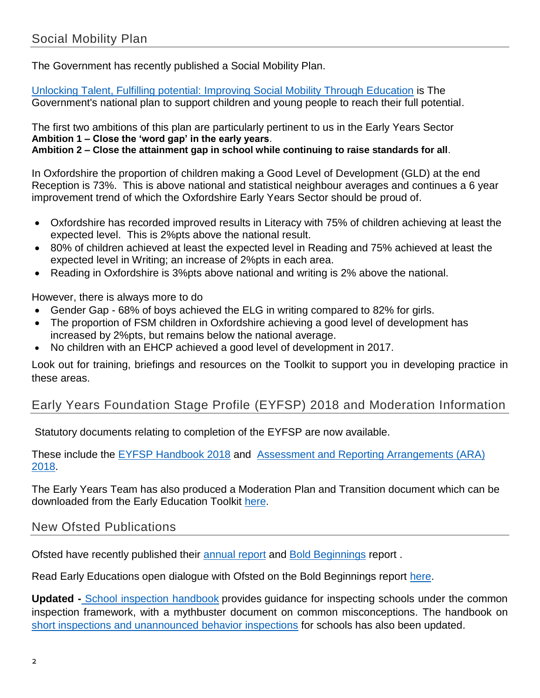The Government has recently published a Social Mobility Plan.

[Unlocking Talent, Fulfilling potential: Improving Social Mobility Through Education](https://www.gov.uk/government/publications/improving-social-mobility-through-education) is The Government's national plan to support children and young people to reach their full potential.

The first two ambitions of this plan are particularly pertinent to us in the Early Years Sector **Ambition 1 – Close the 'word gap' in the early years**. **Ambition 2 – Close the attainment gap in school while continuing to raise standards for all**.

In Oxfordshire the proportion of children making a Good Level of Development (GLD) at the end Reception is 73%. This is above national and statistical neighbour averages and continues a 6 year improvement trend of which the Oxfordshire Early Years Sector should be proud of.

- Oxfordshire has recorded improved results in Literacy with 75% of children achieving at least the expected level. This is 2%pts above the national result.
- 80% of children achieved at least the expected level in Reading and 75% achieved at least the expected level in Writing; an increase of 2%pts in each area.
- Reading in Oxfordshire is 3%pts above national and writing is 2% above the national.

However, there is always more to do

- Gender Gap 68% of boys achieved the ELG in writing compared to 82% for girls.
- The proportion of FSM children in Oxfordshire achieving a good level of development has increased by 2%pts, but remains below the national average.
- No children with an EHCP achieved a good level of development in 2017.

Look out for training, briefings and resources on the Toolkit to support you in developing practice in these areas.

# Early Years Foundation Stage Profile (EYFSP) 2018 and Moderation Information

Statutory documents relating to completion of the EYFSP are now available.

These include the [EYFSP Handbook 2018](https://www.gov.uk/government/publications/early-years-foundation-stage-profile-2018-handbook) and [Assessment and Reporting Arrangements \(ARA\)](https://www.gov.uk/government/publications/2018-early-years-foundation-stage-assessment-and-reporting-arrangements-ara)  [2018.](https://www.gov.uk/government/publications/2018-early-years-foundation-stage-assessment-and-reporting-arrangements-ara)

The Early Years Team has also produced a Moderation Plan and Transition document which can be downloaded from the Early Education Toolkit [here](https://www.oxfordshire.gov.uk/cms/content/early-education-toolkit).

# New Ofsted Publications

Ofsted have recently published their [annual report](https://www.gov.uk/government/publications/ofsted-annual-report-201617-education-childrens-services-and-skills) and [Bold Beginnings](https://www.gov.uk/government/publications/reception-curriculum-in-good-and-outstanding-primary-schools-bold-beginnings) report .

Read Early Educations open dialogue with Ofsted on the Bold Beginnings report [here.](https://www.early-education.org.uk/news/dialogue-ofsted-bold-beginnings-report)

**Updated -** [School inspection handbook](https://www.gov.uk/government/publications/school-inspection-handbook-from-september-2015) provides guidance for inspecting schools under the common inspection framework, with a mythbuster document on common misconceptions. The handbook on [short inspections and unannounced behavior inspections](https://www.gov.uk/government/publications/handbook-for-short-monitoring-and-unannounced-behaviour-school-inspections) for schools has also been updated.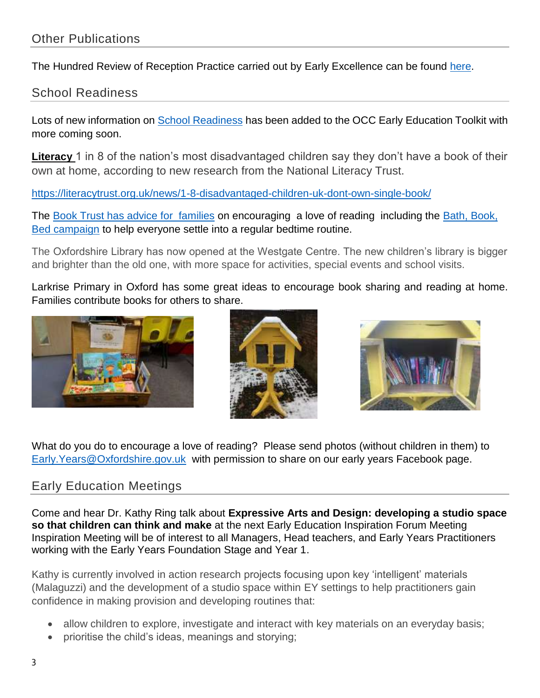The Hundred Review of Reception Practice carried out by Early Excellence can be found [here.](http://earlyexcellence.com/hundredreview/)

# School Readiness

Lots of new information on [School Readiness](https://www.oxfordshire.gov.uk/cms/content/early-education-toolkit#school-readiness) has been added to the OCC Early Education Toolkit with more coming soon.

**Literacy** 1 in 8 of the nation's most disadvantaged children say they don't have a book of their own at home, according to new research from the National Literacy Trust.

<https://literacytrust.org.uk/news/1-8-disadvantaged-children-uk-dont-own-single-book/>

The [Book Trust has advice for families](https://www.booktrust.org.uk/supporting-you/families/) on encouraging a love of reading including the Bath, Book, [Bed campaign](https://www.booktrust.org.uk/supporting-you/families/bath-book-bed/#!?sortOption=MostRecent&pageNo=1) to help everyone settle into a regular bedtime routine.

The Oxfordshire Library has now opened at the Westgate Centre. The new children's library is bigger and brighter than the old one, with more space for activities, special events and school visits.

Larkrise Primary in Oxford has some great ideas to encourage book sharing and reading at home. Families contribute books for others to share.







What do you do to encourage a love of reading? Please send photos (without children in them) to [Early.Years@Oxfordshire.gov.uk](mailto:Early.Years@Oxfordshire.gov.uk) with permission to share on our early years Facebook page.

# Early Education Meetings

Come and hear Dr. Kathy Ring talk about **Expressive Arts and Design: developing a studio space so that children can think and make** at the next Early Education Inspiration Forum Meeting Inspiration Meeting will be of interest to all Managers, Head teachers, and Early Years Practitioners working with the Early Years Foundation Stage and Year 1.

Kathy is currently involved in action research projects focusing upon key 'intelligent' materials (Malaguzzi) and the development of a studio space within EY settings to help practitioners gain confidence in making provision and developing routines that:

- allow children to explore, investigate and interact with key materials on an everyday basis;
- prioritise the child's ideas, meanings and storying;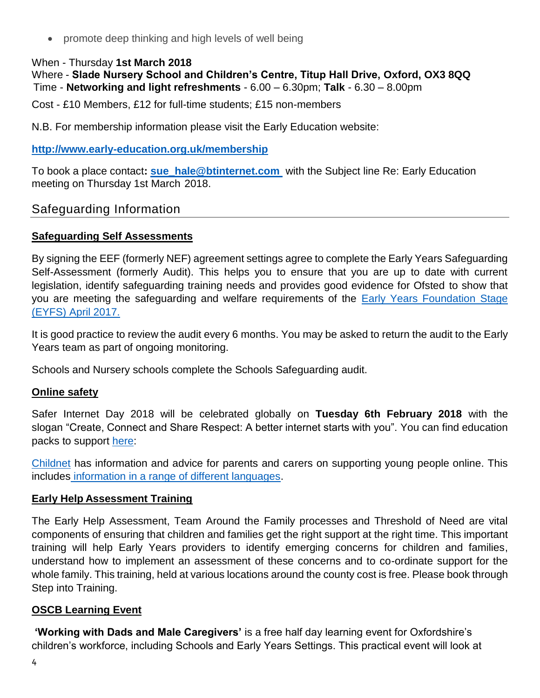• promote deep thinking and high levels of well being

#### When - Thursday **1st March 2018**

Where - **Slade Nursery School and Children's Centre, Titup Hall Drive, Oxford, OX3 8QQ**  Time - **Networking and light refreshments** - 6.00 – 6.30pm; **Talk** - 6.30 – 8.00pm

Cost - £10 Members, £12 for full-time students; £15 non-members

N.B. For membership information please visit the Early Education website:

#### **<http://www.early-education.org.uk/membership>**

To book a place contact**: [sue\\_hale@btinternet.com](mailto:sue_hale@btinternet.com)** with the Subject line Re: Early Education meeting on Thursday 1st March 2018.

### Safeguarding Information

#### **Safeguarding Self Assessments**

By signing the EEF (formerly NEF) agreement settings agree to complete the Early Years Safeguarding Self-Assessment (formerly Audit). This helps you to ensure that you are up to date with current legislation, identify safeguarding training needs and provides good evidence for Ofsted to show that you are meeting the safeguarding and welfare requirements of the [Early Years Foundation Stage](https://www.gov.uk/government/publications/early-years-foundation-stage-framework--2)  [\(EYFS\) April 2017.](https://www.gov.uk/government/publications/early-years-foundation-stage-framework--2)

It is good practice to review the audit every 6 months. You may be asked to return the audit to the Early Years team as part of ongoing monitoring.

Schools and Nursery schools complete the Schools Safeguarding audit.

#### **Online safety**

Safer Internet Day 2018 will be celebrated globally on **Tuesday 6th February 2018** with the slogan "Create, Connect and Share Respect: A better internet starts with you". You can find education packs to support [here:](https://www.saferinternet.org.uk/safer-internet-day/2018/sid2018-education-packs/education-pack-3-7s)

[Childnet](http://www.childnet.com/resources/supporting-young-people-online) has information and advice for parents and carers on supporting young people online. This includes [information in a range of different languages.](http://www.childnet.com/resources/supporting-young-people-online)

#### **Early Help Assessment Training**

The Early Help Assessment, Team Around the Family processes and Threshold of Need are vital components of ensuring that children and families get the right support at the right time. This important training will help Early Years providers to identify emerging concerns for children and families, understand how to implement an assessment of these concerns and to co-ordinate support for the whole family. This training, held at various locations around the county cost is free. Please book through Step into Training.

#### **OSCB Learning Event**

**'Working with Dads and Male Caregivers'** is a free half day learning event for Oxfordshire's children's workforce, including Schools and Early Years Settings. This practical event will look at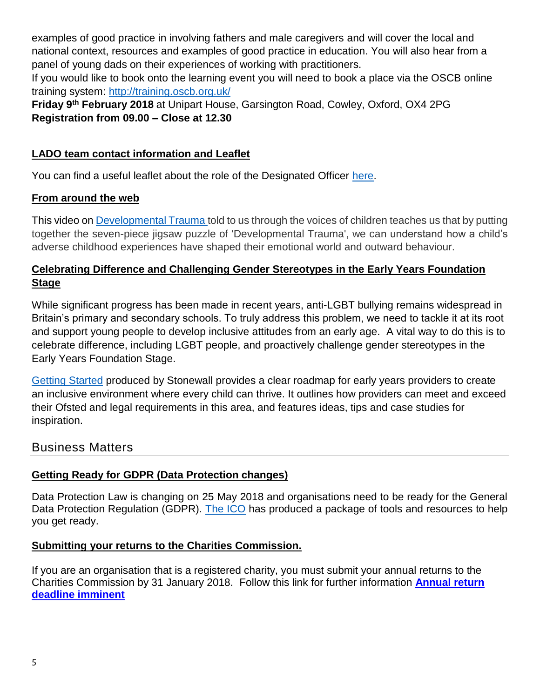examples of good practice in involving fathers and male caregivers and will cover the local and national context, resources and examples of good practice in education. You will also hear from a panel of young dads on their experiences of working with practitioners.

If you would like to book onto the learning event you will need to book a place via the OSCB online training system:<http://training.oscb.org.uk/>

**Friday 9th February 2018** at Unipart House, Garsington Road, Cowley, Oxford, OX4 2PG **Registration from 09.00 – Close at 12.30**

### **LADO team contact information and Leaflet**

You can find a useful leaflet about the role of the Designated Officer [here.](http://schools.oxfordshire.gov.uk/cms/sites/schools/files/folders/folders/documents/safeguarding/designatedofficerleaflet.pdf)

# **From around the web**

This video on [Developmental Trauma](https://www.youtube.com/watch?v=FOCTxcaNHeg) told to us through the voices of children teaches us that by putting together the seven-piece jigsaw puzzle of 'Developmental Trauma', we can understand how a child's adverse childhood experiences have shaped their emotional world and outward behaviour.

# **Celebrating Difference and Challenging Gender Stereotypes in the Early Years Foundation Stage**

While significant progress has been made in recent years, anti-LGBT bullying remains widespread in Britain's primary and secondary schools. To truly address this problem, we need to tackle it at its root and support young people to develop inclusive attitudes from an early age. A vital way to do this is to celebrate difference, including LGBT people, and proactively challenge gender stereotypes in the Early Years Foundation Stage.

[Getting Started](http://www.stonewall.org.uk/sites/default/files/getting_started_early_years.pdf) produced by Stonewall provides a clear roadmap for early years providers to create an inclusive environment where every child can thrive. It outlines how providers can meet and exceed their Ofsted and legal requirements in this area, and features ideas, tips and case studies for inspiration.

# Business Matters

# **Getting Ready for GDPR (Data Protection changes)**

Data Protection Law is changing on 25 May 2018 and organisations need to be ready for the General Data Protection Regulation (GDPR). [The ICO](https://ico.org.uk/) has produced a package of tools and resources to help you get ready.

# **Submitting your returns to the Charities Commission.**

If you are an organisation that is a registered charity, you must submit your annual returns to the Charities Commission by 31 January 2018. Follow this link for further information **[Annual return](http://links.govdelivery.com/track?type=click&enid=ZWFzPTEmbXNpZD0mYXVpZD0mbWFpbGluZ2lkPTIwMTgwMTAzLjgzMTIzNzQxJm1lc3NhZ2VpZD1NREItUFJELUJVTC0yMDE4MDEwMy44MzEyMzc0MSZkYXRhYmFzZWlkPTEwMDEmc2VyaWFsPTE3MTgxOTA0JmVtYWlsaWQ9cGF1bGEubG9jaHJpZUBveGZvcmRzaGlyZS5nb3YudWsmdXNlcmlkPXBhdWxhLmxvY2hyaWVAb3hmb3Jkc2hpcmUuZ292LnVrJnRhcmdldGlkPSZmbD0mbXZpZD0mZXh0cmE9JiYm&&&101&&&https://www.gov.uk/government/news/annual-return-deadline-imminent)  [deadline imminent](http://links.govdelivery.com/track?type=click&enid=ZWFzPTEmbXNpZD0mYXVpZD0mbWFpbGluZ2lkPTIwMTgwMTAzLjgzMTIzNzQxJm1lc3NhZ2VpZD1NREItUFJELUJVTC0yMDE4MDEwMy44MzEyMzc0MSZkYXRhYmFzZWlkPTEwMDEmc2VyaWFsPTE3MTgxOTA0JmVtYWlsaWQ9cGF1bGEubG9jaHJpZUBveGZvcmRzaGlyZS5nb3YudWsmdXNlcmlkPXBhdWxhLmxvY2hyaWVAb3hmb3Jkc2hpcmUuZ292LnVrJnRhcmdldGlkPSZmbD0mbXZpZD0mZXh0cmE9JiYm&&&101&&&https://www.gov.uk/government/news/annual-return-deadline-imminent)**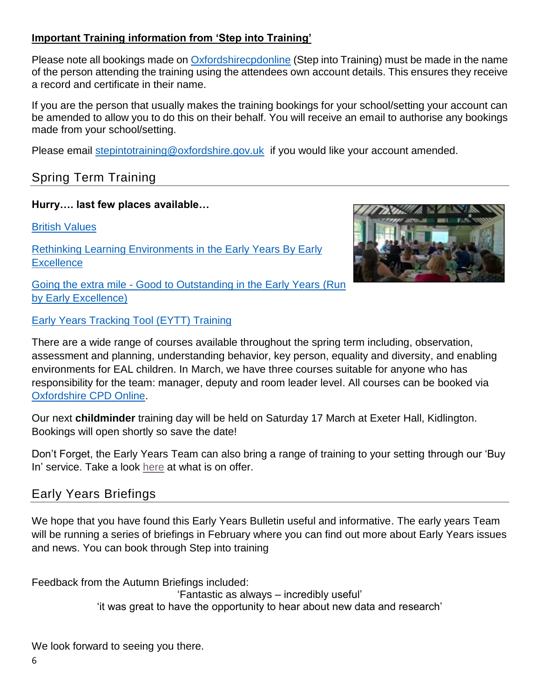# **Important Training information from 'Step into Training'**

Please note all bookings made on [Oxfordshirecpdonline](https://oxfordshirecpdonline.com/cpd/portal.asp) (Step into Training) must be made in the name of the person attending the training using the attendees own account details. This ensures they receive a record and certificate in their name.

If you are the person that usually makes the training bookings for your school/setting your account can be amended to allow you to do this on their behalf. You will receive an email to authorise any bookings made from your school/setting.

Please email [stepintotraining@oxfordshire.gov.uk](mailto:stepintotraining@oxfordshire.gov.uk) if you would like your account amended.

# Spring Term Training

### **Hurry…. last few places available…**

[British Values](https://oxfordshirecpdonline.com/courses/bookings/c_detail.asp?cid=11028&iscancelled=0&curpage=&keyword=&ds=1&unconfirmed=&cs=&subid=&ccid=&cscid=&search_theme=&keystage=&sdate=&searchcode=&asearch=&tutid=&estid=&sday=&smonth=&syear=&targetid=&cal=1&calday=19&calmonth=1&calyear=2018&caldate=&submonth=&subyear=&list=&palist=&frompage=&a=&b=&c=&d=&s_leaid=&searchpostcode=)

[Rethinking Learning Environments in the Early Years](https://oxfordshirecpdonline.com/courses/bookings/c_detail.asp?cid=11050&iscancelled=0&curpage=&keyword=&ds=1&unconfirmed=&cs=&subid=&ccid=&cscid=&search_theme=&keystage=&sdate=&searchcode=&asearch=&tutid=&estid=&sday=&smonth=&syear=&targetid=&cal=1&calday=31&calmonth=1&calyear=2018&caldate=&submonth=&subyear=&list=&palist=&frompage=&a=&b=&c=&d=&s_leaid=&searchpostcode=) By Early **Excellence** 



Going the extra mile - [Good to Outstanding in the Early Years](https://oxfordshirecpdonline.com/courses/bookings/c_detail.asp?cid=11044&iscancelled=0&curpage=&keyword=&ds=1&unconfirmed=&cs=&subid=&ccid=&cscid=&search_theme=&keystage=&sdate=&searchcode=&asearch=&tutid=&estid=&sday=&smonth=&syear=&targetid=&cal=1&calday=1&calmonth=2&calyear=2018&caldate=&submonth=&subyear=&list=&palist=&frompage=&a=&b=&c=&d=&s_leaid=&searchpostcode=) (Run by Early Excellence)

[Early Years Tracking Tool \(EYTT\) Training](https://oxfordshirecpdonline.com/courses/bookings/c_detail.asp?cid=11031&iscancelled=0&curpage=&keyword=&ds=1&unconfirmed=&cs=&subid=&ccid=&cscid=&search_theme=&keystage=&sdate=&searchcode=&asearch=&tutid=&estid=&sday=&smonth=&syear=&targetid=&cal=1&calday=6&calmonth=2&calyear=2018&caldate=&submonth=&subyear=&list=&palist=&frompage=&a=&b=&c=&d=&s_leaid=&searchpostcode=)

There are a wide range of courses available throughout the spring term including, observation, assessment and planning, understanding behavior, key person, equality and diversity, and enabling environments for EAL children. In March, we have three courses suitable for anyone who has responsibility for the team: manager, deputy and room leader level. All courses can be booked via [Oxfordshire CPD Online.](https://oxfordshirecpdonline.com/cpd/default.asp)

Our next **childminder** training day will be held on Saturday 17 March at Exeter Hall, Kidlington. Bookings will open shortly so save the date!

Don't Forget, the Early Years Team can also bring a range of training to your setting through our 'Buy In' service. Take a look [here](http://www.oxfordshireearlyyears.co.uk/page_4117230.html) at what is on offer.

# Early Years Briefings

We hope that you have found this Early Years Bulletin useful and informative. The early years Team will be running a series of briefings in February where you can find out more about Early Years issues and news. You can book through Step into training

Feedback from the Autumn Briefings included:

'Fantastic as always – incredibly useful' 'it was great to have the opportunity to hear about new data and research'

We look forward to seeing you there.